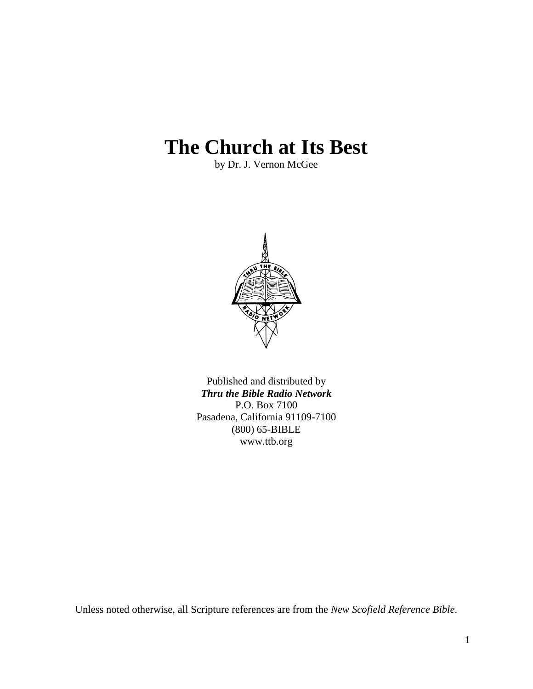# **The Church at Its Best**

by Dr. J. Vernon McGee



Published and distributed by *Thru the Bible Radio Network* P.O. Box 7100 Pasadena, California 91109-7100 (800) 65-BIBLE www.ttb.org

Unless noted otherwise, all Scripture references are from the *New Scofield Reference Bible*.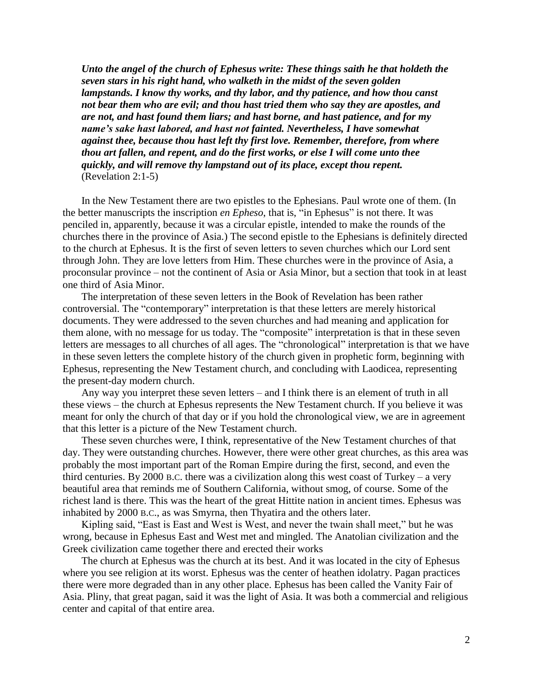*Unto the angel of the church of Ephesus write: These things saith he that holdeth the seven stars in his right hand, who walketh in the midst of the seven golden lampstands. I know thy works, and thy labor, and thy patience, and how thou canst not bear them who are evil; and thou hast tried them who say they are apostles, and are not, and hast found them liars; and hast borne, and hast patience, and for my name's sake hast labored, and hast not fainted. Nevertheless, I have somewhat against thee, because thou hast left thy first love. Remember, therefore, from where thou art fallen, and repent, and do the first works, or else I will come unto thee quickly, and will remove thy lampstand out of its place, except thou repent.* (Revelation 2:1-5)

In the New Testament there are two epistles to the Ephesians. Paul wrote one of them. (In the better manuscripts the inscription *en Epheso*, that is, "in Ephesus" is not there. It was penciled in, apparently, because it was a circular epistle, intended to make the rounds of the churches there in the province of Asia.) The second epistle to the Ephesians is definitely directed to the church at Ephesus. It is the first of seven letters to seven churches which our Lord sent through John. They are love letters from Him. These churches were in the province of Asia, a proconsular province – not the continent of Asia or Asia Minor, but a section that took in at least one third of Asia Minor.

The interpretation of these seven letters in the Book of Revelation has been rather controversial. The "contemporary" interpretation is that these letters are merely historical documents. They were addressed to the seven churches and had meaning and application for them alone, with no message for us today. The "composite" interpretation is that in these seven letters are messages to all churches of all ages. The "chronological" interpretation is that we have in these seven letters the complete history of the church given in prophetic form, beginning with Ephesus, representing the New Testament church, and concluding with Laodicea, representing the present-day modern church.

Any way you interpret these seven letters – and I think there is an element of truth in all these views – the church at Ephesus represents the New Testament church. If you believe it was meant for only the church of that day or if you hold the chronological view, we are in agreement that this letter is a picture of the New Testament church.

These seven churches were, I think, representative of the New Testament churches of that day. They were outstanding churches. However, there were other great churches, as this area was probably the most important part of the Roman Empire during the first, second, and even the third centuries. By 2000 B.C. there was a civilization along this west coast of Turkey – a very beautiful area that reminds me of Southern California, without smog, of course. Some of the richest land is there. This was the heart of the great Hittite nation in ancient times. Ephesus was inhabited by 2000 B.C., as was Smyrna, then Thyatira and the others later.

Kipling said, "East is East and West is West, and never the twain shall meet," but he was wrong, because in Ephesus East and West met and mingled. The Anatolian civilization and the Greek civilization came together there and erected their works

The church at Ephesus was the church at its best. And it was located in the city of Ephesus where you see religion at its worst. Ephesus was the center of heathen idolatry. Pagan practices there were more degraded than in any other place. Ephesus has been called the Vanity Fair of Asia. Pliny, that great pagan, said it was the light of Asia. It was both a commercial and religious center and capital of that entire area.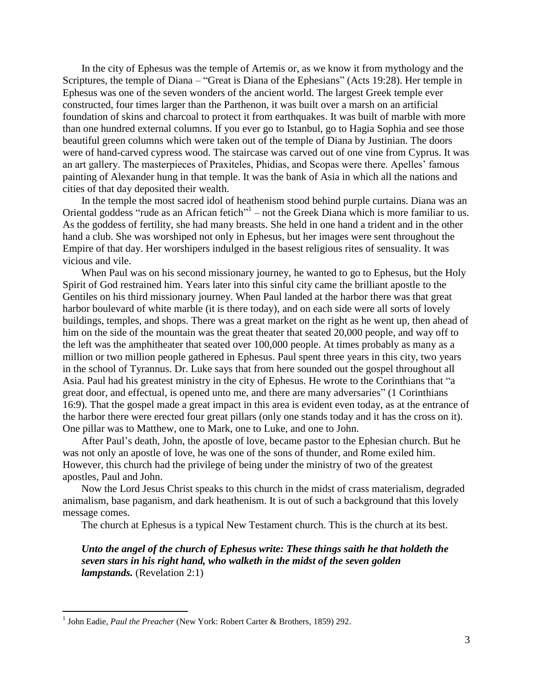In the city of Ephesus was the temple of Artemis or, as we know it from mythology and the Scriptures, the temple of Diana – "Great is Diana of the Ephesians" (Acts 19:28). Her temple in Ephesus was one of the seven wonders of the ancient world. The largest Greek temple ever constructed, four times larger than the Parthenon, it was built over a marsh on an artificial foundation of skins and charcoal to protect it from earthquakes. It was built of marble with more than one hundred external columns. If you ever go to Istanbul, go to Hagia Sophia and see those beautiful green columns which were taken out of the temple of Diana by Justinian. The doors were of hand-carved cypress wood. The staircase was carved out of one vine from Cyprus. It was an art gallery. The masterpieces of Praxiteles, Phidias, and Scopas were there. Apelles' famous painting of Alexander hung in that temple. It was the bank of Asia in which all the nations and cities of that day deposited their wealth.

In the temple the most sacred idol of heathenism stood behind purple curtains. Diana was an Oriental goddess "rude as an African fetich" $<sup>1</sup>$  – not the Greek Diana which is more familiar to us.</sup> As the goddess of fertility, she had many breasts. She held in one hand a trident and in the other hand a club. She was worshiped not only in Ephesus, but her images were sent throughout the Empire of that day. Her worshipers indulged in the basest religious rites of sensuality. It was vicious and vile.

When Paul was on his second missionary journey, he wanted to go to Ephesus, but the Holy Spirit of God restrained him. Years later into this sinful city came the brilliant apostle to the Gentiles on his third missionary journey. When Paul landed at the harbor there was that great harbor boulevard of white marble (it is there today), and on each side were all sorts of lovely buildings, temples, and shops. There was a great market on the right as he went up, then ahead of him on the side of the mountain was the great theater that seated 20,000 people, and way off to the left was the amphitheater that seated over 100,000 people. At times probably as many as a million or two million people gathered in Ephesus. Paul spent three years in this city, two years in the school of Tyrannus. Dr. Luke says that from here sounded out the gospel throughout all Asia. Paul had his greatest ministry in the city of Ephesus. He wrote to the Corinthians that "a great door, and effectual, is opened unto me, and there are many adversaries" (1 Corinthians 16:9). That the gospel made a great impact in this area is evident even today, as at the entrance of the harbor there were erected four great pillars (only one stands today and it has the cross on it). One pillar was to Matthew, one to Mark, one to Luke, and one to John.

After Paul's death, John, the apostle of love, became pastor to the Ephesian church. But he was not only an apostle of love, he was one of the sons of thunder, and Rome exiled him. However, this church had the privilege of being under the ministry of two of the greatest apostles, Paul and John.

Now the Lord Jesus Christ speaks to this church in the midst of crass materialism, degraded animalism, base paganism, and dark heathenism. It is out of such a background that this lovely message comes.

The church at Ephesus is a typical New Testament church. This is the church at its best.

*Unto the angel of the church of Ephesus write: These things saith he that holdeth the seven stars in his right hand, who walketh in the midst of the seven golden lampstands.* (Revelation 2:1)

1

<sup>&</sup>lt;sup>1</sup> John Eadie, *Paul the Preacher* (New York: Robert Carter & Brothers, 1859) 292.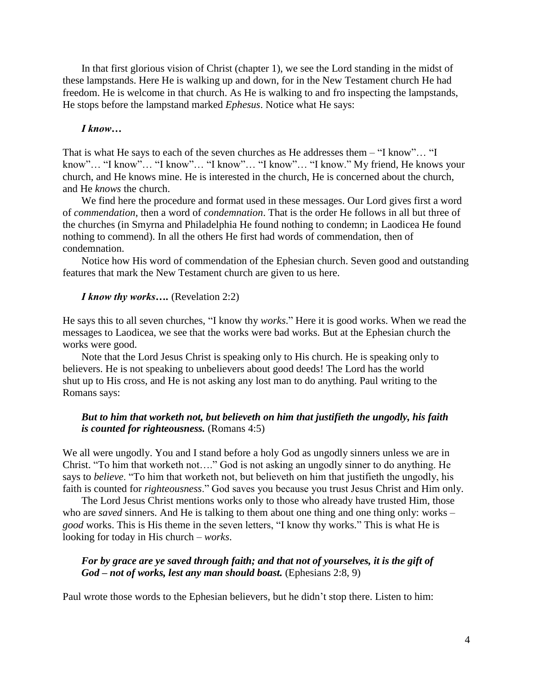In that first glorious vision of Christ (chapter 1), we see the Lord standing in the midst of these lampstands. Here He is walking up and down, for in the New Testament church He had freedom. He is welcome in that church. As He is walking to and fro inspecting the lampstands, He stops before the lampstand marked *Ephesus*. Notice what He says:

#### *I know…*

That is what He says to each of the seven churches as He addresses them – "I know"… "I know"… "I know"… "I know"… "I know"… "I know"… "I know." My friend, He knows your church, and He knows mine. He is interested in the church, He is concerned about the church, and He *knows* the church.

We find here the procedure and format used in these messages. Our Lord gives first a word of *commendation*, then a word of *condemnation*. That is the order He follows in all but three of the churches (in Smyrna and Philadelphia He found nothing to condemn; in Laodicea He found nothing to commend). In all the others He first had words of commendation, then of condemnation.

Notice how His word of commendation of the Ephesian church. Seven good and outstanding features that mark the New Testament church are given to us here.

#### *I know thy works….* (Revelation 2:2)

He says this to all seven churches, "I know thy *works*." Here it is good works. When we read the messages to Laodicea, we see that the works were bad works. But at the Ephesian church the works were good.

Note that the Lord Jesus Christ is speaking only to His church. He is speaking only to believers. He is not speaking to unbelievers about good deeds! The Lord has the world shut up to His cross, and He is not asking any lost man to do anything. Paul writing to the Romans says:

## *But to him that worketh not, but believeth on him that justifieth the ungodly, his faith is counted for righteousness.* (Romans 4:5)

We all were ungodly. You and I stand before a holy God as ungodly sinners unless we are in Christ. "To him that worketh not…." God is not asking an ungodly sinner to do anything. He says to *believe*. "To him that worketh not, but believeth on him that justifieth the ungodly, his faith is counted for *righteousness*." God saves you because you trust Jesus Christ and Him only.

The Lord Jesus Christ mentions works only to those who already have trusted Him, those who are *saved* sinners. And He is talking to them about one thing and one thing only: works – *good* works. This is His theme in the seven letters, "I know thy works." This is what He is looking for today in His church – *works*.

#### *For by grace are ye saved through faith; and that not of yourselves, it is the gift of God – not of works, lest any man should boast.* (Ephesians 2:8, 9)

Paul wrote those words to the Ephesian believers, but he didn't stop there. Listen to him: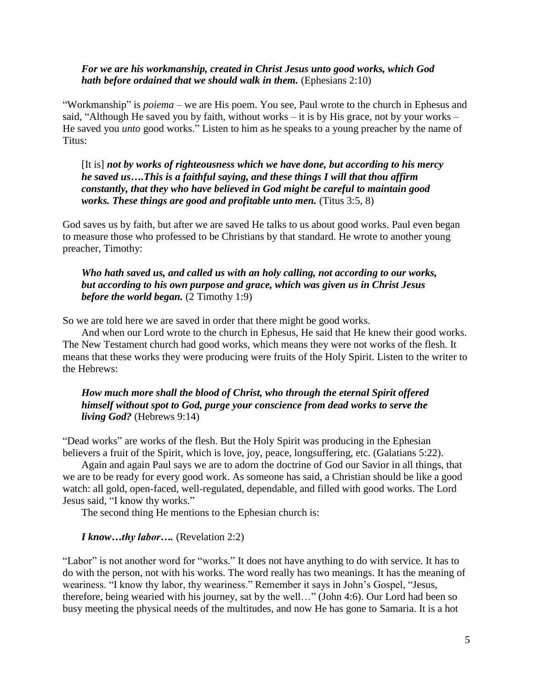## *For we are his workmanship, created in Christ Jesus unto good works, which God hath before ordained that we should walk in them.* (Ephesians 2:10)

"Workmanship" is *poiema* – we are His poem. You see, Paul wrote to the church in Ephesus and said, "Although He saved you by faith, without works – it is by His grace, not by your works – He saved you *unto* good works." Listen to him as he speaks to a young preacher by the name of Titus:

[It is] *not by works of righteousness which we have done, but according to his mercy he saved us….This is a faithful saying, and these things I will that thou affirm constantly, that they who have believed in God might be careful to maintain good works. These things are good and profitable unto men.* (Titus 3:5, 8)

God saves us by faith, but after we are saved He talks to us about good works. Paul even began to measure those who professed to be Christians by that standard. He wrote to another young preacher, Timothy:

*Who hath saved us, and called us with an holy calling, not according to our works, but according to his own purpose and grace, which was given us in Christ Jesus before the world began.* (2 Timothy 1:9)

So we are told here we are saved in order that there might be good works.

And when our Lord wrote to the church in Ephesus, He said that He knew their good works. The New Testament church had good works, which means they were not works of the flesh. It means that these works they were producing were fruits of the Holy Spirit. Listen to the writer to the Hebrews:

## *How much more shall the blood of Christ, who through the eternal Spirit offered himself without spot to God, purge your conscience from dead works to serve the living God?* (Hebrews 9:14)

"Dead works" are works of the flesh. But the Holy Spirit was producing in the Ephesian believers a fruit of the Spirit, which is love, joy, peace, longsuffering, etc. (Galatians 5:22).

Again and again Paul says we are to adorn the doctrine of God our Savior in all things, that we are to be ready for every good work. As someone has said, a Christian should be like a good watch: all gold, open-faced, well-regulated, dependable, and filled with good works. The Lord Jesus said, "I know thy works."

The second thing He mentions to the Ephesian church is:

#### *I know…thy labor….* (Revelation 2:2)

"Labor" is not another word for "works." It does not have anything to do with service. It has to do with the person, not with his works. The word really has two meanings. It has the meaning of weariness. "I know thy labor, thy weariness." Remember it says in John's Gospel, "Jesus, therefore, being wearied with his journey, sat by the well…" (John 4:6). Our Lord had been so busy meeting the physical needs of the multitudes, and now He has gone to Samaria. It is a hot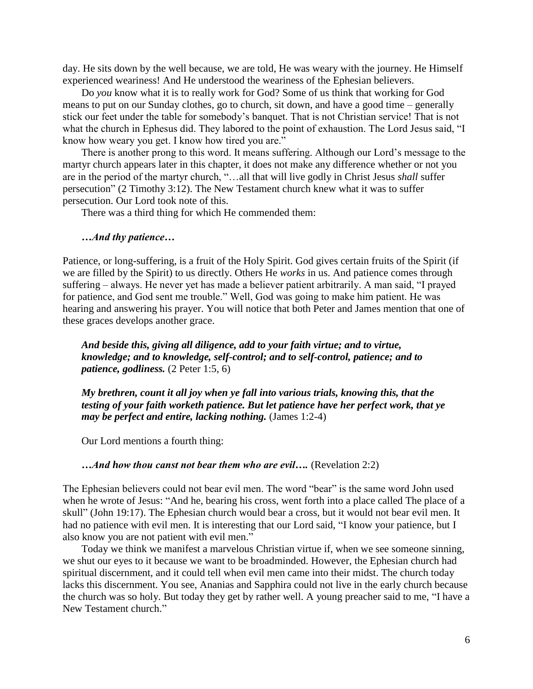day. He sits down by the well because, we are told, He was weary with the journey. He Himself experienced weariness! And He understood the weariness of the Ephesian believers.

Do *you* know what it is to really work for God? Some of us think that working for God means to put on our Sunday clothes, go to church, sit down, and have a good time – generally stick our feet under the table for somebody's banquet. That is not Christian service! That is not what the church in Ephesus did. They labored to the point of exhaustion. The Lord Jesus said, "I know how weary you get. I know how tired you are."

There is another prong to this word. It means suffering. Although our Lord's message to the martyr church appears later in this chapter, it does not make any difference whether or not you are in the period of the martyr church, "…all that will live godly in Christ Jesus *shall* suffer persecution" (2 Timothy 3:12). The New Testament church knew what it was to suffer persecution. Our Lord took note of this.

There was a third thing for which He commended them:

#### *…And thy patience…*

Patience, or long-suffering, is a fruit of the Holy Spirit. God gives certain fruits of the Spirit (if we are filled by the Spirit) to us directly. Others He *works* in us. And patience comes through suffering – always. He never yet has made a believer patient arbitrarily. A man said, "I prayed for patience, and God sent me trouble." Well, God was going to make him patient. He was hearing and answering his prayer. You will notice that both Peter and James mention that one of these graces develops another grace.

*And beside this, giving all diligence, add to your faith virtue; and to virtue, knowledge; and to knowledge, self-control; and to self-control, patience; and to patience, godliness.* (2 Peter 1:5, 6)

*My brethren, count it all joy when ye fall into various trials, knowing this, that the testing of your faith worketh patience. But let patience have her perfect work, that ye may be perfect and entire, lacking nothing.* (James 1:2-4)

Our Lord mentions a fourth thing:

## *…And how thou canst not bear them who are evil….* (Revelation 2:2)

The Ephesian believers could not bear evil men. The word "bear" is the same word John used when he wrote of Jesus: "And he, bearing his cross, went forth into a place called The place of a skull" (John 19:17). The Ephesian church would bear a cross, but it would not bear evil men. It had no patience with evil men. It is interesting that our Lord said, "I know your patience, but I also know you are not patient with evil men."

Today we think we manifest a marvelous Christian virtue if, when we see someone sinning, we shut our eyes to it because we want to be broadminded. However, the Ephesian church had spiritual discernment, and it could tell when evil men came into their midst. The church today lacks this discernment. You see, Ananias and Sapphira could not live in the early church because the church was so holy. But today they get by rather well. A young preacher said to me, "I have a New Testament church."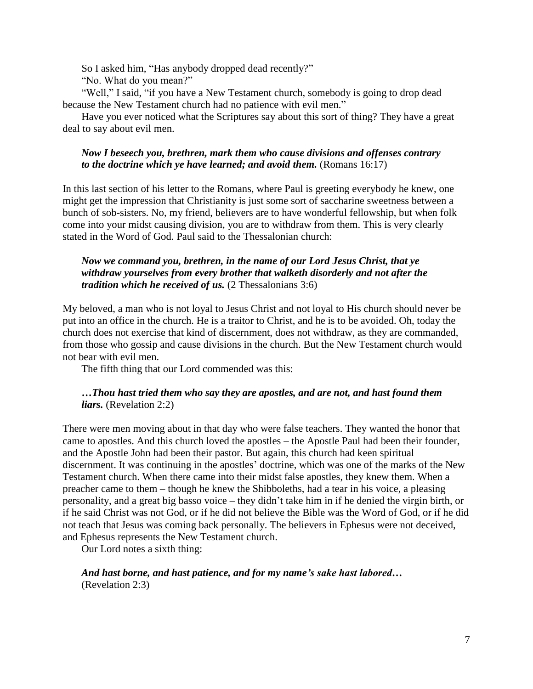So I asked him, "Has anybody dropped dead recently?"

"No. What do you mean?"

"Well," I said, "if you have a New Testament church, somebody is going to drop dead because the New Testament church had no patience with evil men."

Have you ever noticed what the Scriptures say about this sort of thing? They have a great deal to say about evil men.

## *Now I beseech you, brethren, mark them who cause divisions and offenses contrary to the doctrine which ye have learned; and avoid them.* (Romans 16:17)

In this last section of his letter to the Romans, where Paul is greeting everybody he knew, one might get the impression that Christianity is just some sort of saccharine sweetness between a bunch of sob-sisters. No, my friend, believers are to have wonderful fellowship, but when folk come into your midst causing division, you are to withdraw from them. This is very clearly stated in the Word of God. Paul said to the Thessalonian church:

## *Now we command you, brethren, in the name of our Lord Jesus Christ, that ye withdraw yourselves from every brother that walketh disorderly and not after the tradition which he received of us.* (2 Thessalonians 3:6)

My beloved, a man who is not loyal to Jesus Christ and not loyal to His church should never be put into an office in the church. He is a traitor to Christ, and he is to be avoided. Oh, today the church does not exercise that kind of discernment, does not withdraw, as they are commanded, from those who gossip and cause divisions in the church. But the New Testament church would not bear with evil men.

The fifth thing that our Lord commended was this:

## *…Thou hast tried them who say they are apostles, and are not, and hast found them liars.* (Revelation 2:2)

There were men moving about in that day who were false teachers. They wanted the honor that came to apostles. And this church loved the apostles – the Apostle Paul had been their founder, and the Apostle John had been their pastor. But again, this church had keen spiritual discernment. It was continuing in the apostles' doctrine, which was one of the marks of the New Testament church. When there came into their midst false apostles, they knew them. When a preacher came to them – though he knew the Shibboleths, had a tear in his voice, a pleasing personality, and a great big basso voice – they didn't take him in if he denied the virgin birth, or if he said Christ was not God, or if he did not believe the Bible was the Word of God, or if he did not teach that Jesus was coming back personally. The believers in Ephesus were not deceived, and Ephesus represents the New Testament church.

Our Lord notes a sixth thing:

## *And hast borne, and hast patience, and for my name's sake hast labored…* (Revelation 2:3)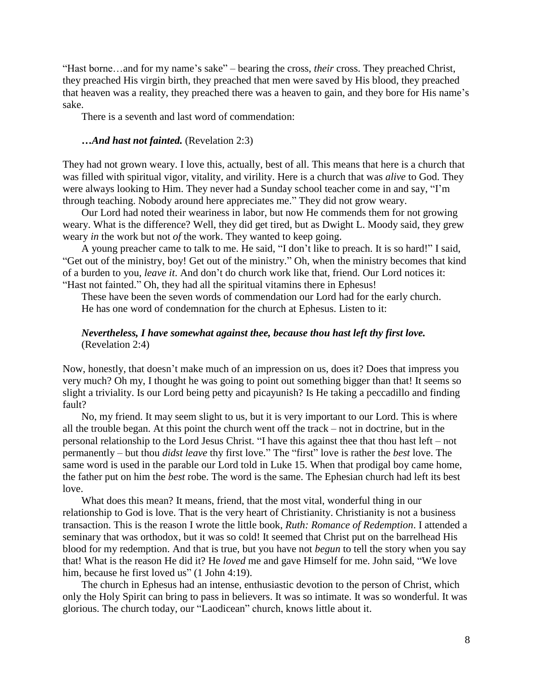"Hast borne…and for my name's sake" – bearing the cross, *their* cross. They preached Christ, they preached His virgin birth, they preached that men were saved by His blood, they preached that heaven was a reality, they preached there was a heaven to gain, and they bore for His name's sake.

There is a seventh and last word of commendation:

#### *…And hast not fainted.* (Revelation 2:3)

They had not grown weary. I love this, actually, best of all. This means that here is a church that was filled with spiritual vigor, vitality, and virility. Here is a church that was *alive* to God. They were always looking to Him. They never had a Sunday school teacher come in and say, "I'm through teaching. Nobody around here appreciates me." They did not grow weary.

Our Lord had noted their weariness in labor, but now He commends them for not growing weary. What is the difference? Well, they did get tired, but as Dwight L. Moody said, they grew weary *in* the work but not *of* the work. They wanted to keep going.

A young preacher came to talk to me. He said, "I don't like to preach. It is so hard!" I said, "Get out of the ministry, boy! Get out of the ministry." Oh, when the ministry becomes that kind of a burden to you, *leave it*. And don't do church work like that, friend. Our Lord notices it: "Hast not fainted." Oh, they had all the spiritual vitamins there in Ephesus!

These have been the seven words of commendation our Lord had for the early church. He has one word of condemnation for the church at Ephesus. Listen to it:

## *Nevertheless, I have somewhat against thee, because thou hast left thy first love.*  (Revelation 2:4)

Now, honestly, that doesn't make much of an impression on us, does it? Does that impress you very much? Oh my, I thought he was going to point out something bigger than that! It seems so slight a triviality. Is our Lord being petty and picayunish? Is He taking a peccadillo and finding fault?

No, my friend. It may seem slight to us, but it is very important to our Lord. This is where all the trouble began. At this point the church went off the track – not in doctrine, but in the personal relationship to the Lord Jesus Christ. "I have this against thee that thou hast left – not permanently – but thou *didst leave* thy first love." The "first" love is rather the *best* love. The same word is used in the parable our Lord told in Luke 15. When that prodigal boy came home, the father put on him the *best* robe. The word is the same. The Ephesian church had left its best love.

What does this mean? It means, friend, that the most vital, wonderful thing in our relationship to God is love. That is the very heart of Christianity. Christianity is not a business transaction. This is the reason I wrote the little book, *Ruth: Romance of Redemption*. I attended a seminary that was orthodox, but it was so cold! It seemed that Christ put on the barrelhead His blood for my redemption. And that is true, but you have not *begun* to tell the story when you say that! What is the reason He did it? He *loved* me and gave Himself for me. John said, "We love him, because he first loved us" (1 John 4:19).

The church in Ephesus had an intense, enthusiastic devotion to the person of Christ, which only the Holy Spirit can bring to pass in believers. It was so intimate. It was so wonderful. It was glorious. The church today, our "Laodicean" church, knows little about it.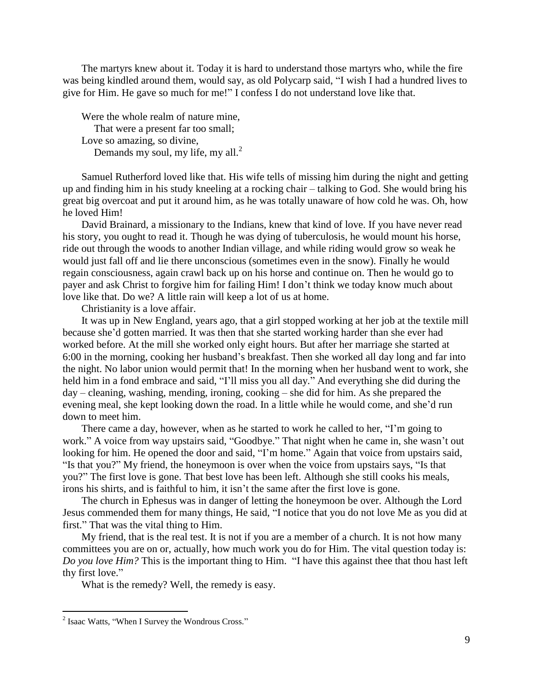The martyrs knew about it. Today it is hard to understand those martyrs who, while the fire was being kindled around them, would say, as old Polycarp said, "I wish I had a hundred lives to give for Him. He gave so much for me!" I confess I do not understand love like that.

Were the whole realm of nature mine, That were a present far too small; Love so amazing, so divine, Demands my soul, my life, my all.<sup>2</sup>

Samuel Rutherford loved like that. His wife tells of missing him during the night and getting up and finding him in his study kneeling at a rocking chair – talking to God. She would bring his great big overcoat and put it around him, as he was totally unaware of how cold he was. Oh, how he loved Him!

David Brainard, a missionary to the Indians, knew that kind of love. If you have never read his story, you ought to read it. Though he was dying of tuberculosis, he would mount his horse, ride out through the woods to another Indian village, and while riding would grow so weak he would just fall off and lie there unconscious (sometimes even in the snow). Finally he would regain consciousness, again crawl back up on his horse and continue on. Then he would go to payer and ask Christ to forgive him for failing Him! I don't think we today know much about love like that. Do we? A little rain will keep a lot of us at home.

Christianity is a love affair.

It was up in New England, years ago, that a girl stopped working at her job at the textile mill because she'd gotten married. It was then that she started working harder than she ever had worked before. At the mill she worked only eight hours. But after her marriage she started at 6:00 in the morning, cooking her husband's breakfast. Then she worked all day long and far into the night. No labor union would permit that! In the morning when her husband went to work, she held him in a fond embrace and said, "I'll miss you all day." And everything she did during the day – cleaning, washing, mending, ironing, cooking – she did for him. As she prepared the evening meal, she kept looking down the road. In a little while he would come, and she'd run down to meet him.

There came a day, however, when as he started to work he called to her, "I'm going to work." A voice from way upstairs said, "Goodbye." That night when he came in, she wasn't out looking for him. He opened the door and said, "I'm home." Again that voice from upstairs said, "Is that you?" My friend, the honeymoon is over when the voice from upstairs says, "Is that you?" The first love is gone. That best love has been left. Although she still cooks his meals, irons his shirts, and is faithful to him, it isn't the same after the first love is gone.

The church in Ephesus was in danger of letting the honeymoon be over. Although the Lord Jesus commended them for many things, He said, "I notice that you do not love Me as you did at first." That was the vital thing to Him.

My friend, that is the real test. It is not if you are a member of a church. It is not how many committees you are on or, actually, how much work you do for Him. The vital question today is: *Do you love Him?* This is the important thing to Him. "I have this against thee that thou hast left thy first love."

What is the remedy? Well, the remedy is easy.

1

<sup>&</sup>lt;sup>2</sup> Isaac Watts, "When I Survey the Wondrous Cross."